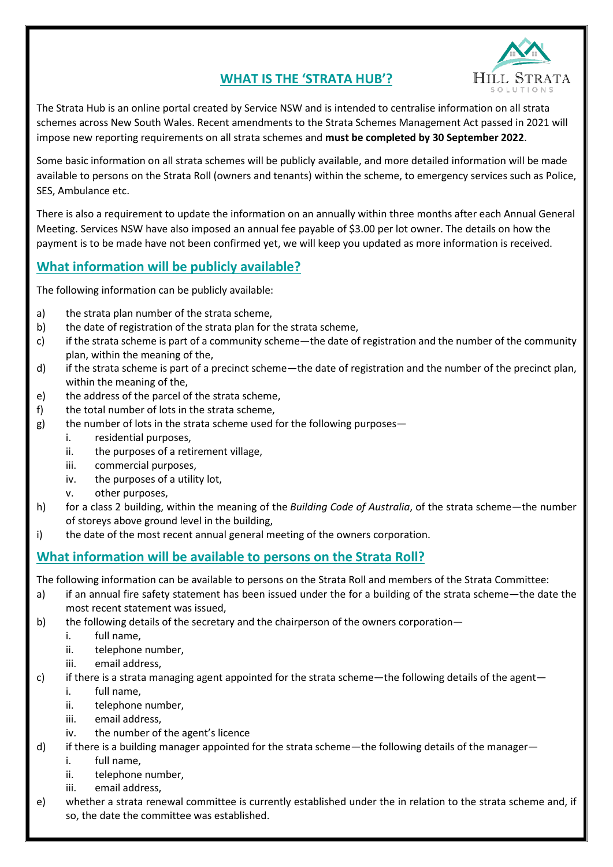# **WHAT IS THE 'STRATA HUB'?**



The Strata Hub is an online portal created by Service NSW and is intended to centralise information on all strata schemes across New South Wales. Recent amendments to the Strata Schemes Management Act passed in 2021 will impose new reporting requirements on all strata schemes and **must be completed by 30 September 2022**.

Some basic information on all strata schemes will be publicly available, and more detailed information will be made available to persons on the Strata Roll (owners and tenants) within the scheme, to emergency services such as Police, SES, Ambulance etc.

There is also a requirement to update the information on an annually within three months after each Annual General Meeting. Services NSW have also imposed an annual fee payable of \$3.00 per lot owner. The details on how the payment is to be made have not been confirmed yet, we will keep you updated as more information is received.

### **What information will be publicly available?**

The following information can be publicly available:

- a) the strata plan number of the strata scheme,
- b) the date of registration of the strata plan for the strata scheme,
- c) if the strata scheme is part of a community scheme—the date of registration and the number of the community plan, within the meaning of the,
- d) if the strata scheme is part of a precinct scheme—the date of registration and the number of the precinct plan, within the meaning of the,
- e) the address of the parcel of the strata scheme,
- f) the total number of lots in the strata scheme,
- g) the number of lots in the strata scheme used for the following purposes
	- i. residential purposes,
	- ii. the purposes of a retirement village,
	- iii. commercial purposes,
	- iv. the purposes of a utility lot,
	- v. other purposes,
- h) for a class 2 building, within the meaning of the *Building Code of Australia*, of the strata scheme—the number of storeys above ground level in the building,
- i) the date of the most recent annual general meeting of the owners corporation.

#### **What information will be available to persons on the Strata Roll?**

The following information can be available to persons on the Strata Roll and members of the Strata Committee:

- a) if an annual fire safety statement has been issued under the for a building of the strata scheme—the date the most recent statement was issued,
- b) the following details of the secretary and the chairperson of the owners corporation
	- i. full name,
	- ii. telephone number,
	- iii. email address,
- c) if there is a strata managing agent appointed for the strata scheme—the following details of the agent
	- i. full name,
	- ii. telephone number,
	- iii. email address,
	- iv. the number of the agent's licence
- d) if there is a building manager appointed for the strata scheme—the following details of the manager
	- i. full name,
	- ii. telephone number,
	- iii. email address,
- e) whether a strata renewal committee is currently established under the in relation to the strata scheme and, if so, the date the committee was established.